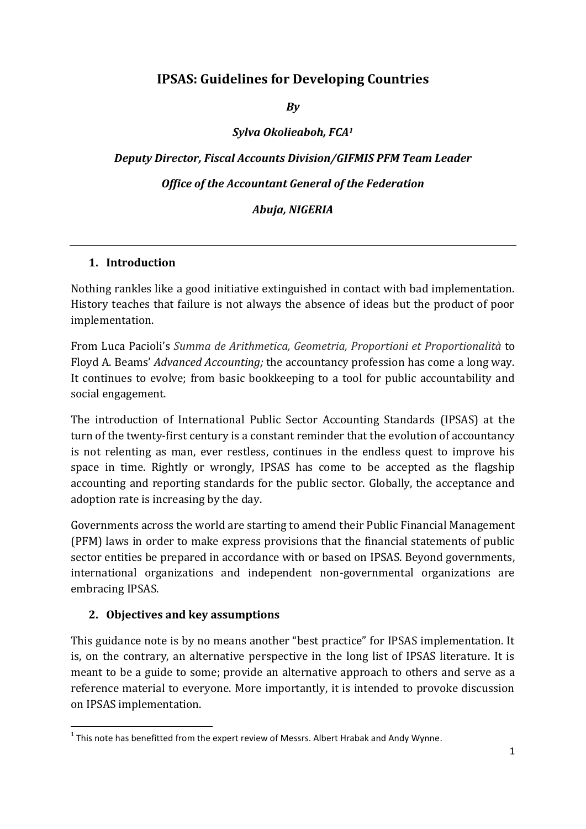# **IPSAS: Guidelines for Developing Countries**

*By*

*Sylva Okolieaboh, FCA<sup>1</sup>*

*Deputy Director, Fiscal Accounts Division/GIFMIS PFM Team Leader Office of the Accountant General of the Federation Abuja, NIGERIA*

#### **1. Introduction**

Nothing rankles like a good initiative extinguished in contact with bad implementation. History teaches that failure is not always the absence of ideas but the product of poor implementation.

From Luca Pacioli's *Summa de Arithmetica, Geometria, Proportioni et Proportionalità* to Floyd A. Beams' *Advanced Accounting;* the accountancy profession has come a long way. It continues to evolve; from basic bookkeeping to a tool for public accountability and social engagement.

The introduction of International Public Sector Accounting Standards (IPSAS) at the turn of the twenty-first century is a constant reminder that the evolution of accountancy is not relenting as man, ever restless, continues in the endless quest to improve his space in time. Rightly or wrongly, IPSAS has come to be accepted as the flagship accounting and reporting standards for the public sector. Globally, the acceptance and adoption rate is increasing by the day.

Governments across the world are starting to amend their Public Financial Management (PFM) laws in order to make express provisions that the financial statements of public sector entities be prepared in accordance with or based on IPSAS. Beyond governments, international organizations and independent non-governmental organizations are embracing IPSAS.

#### **2. Objectives and key assumptions**

**.** 

This guidance note is by no means another "best practice" for IPSAS implementation. It is, on the contrary, an alternative perspective in the long list of IPSAS literature. It is meant to be a guide to some; provide an alternative approach to others and serve as a reference material to everyone. More importantly, it is intended to provoke discussion on IPSAS implementation.

 $<sup>1</sup>$  This note has benefitted from the expert review of Messrs. Albert Hrabak and Andy Wynne.</sup>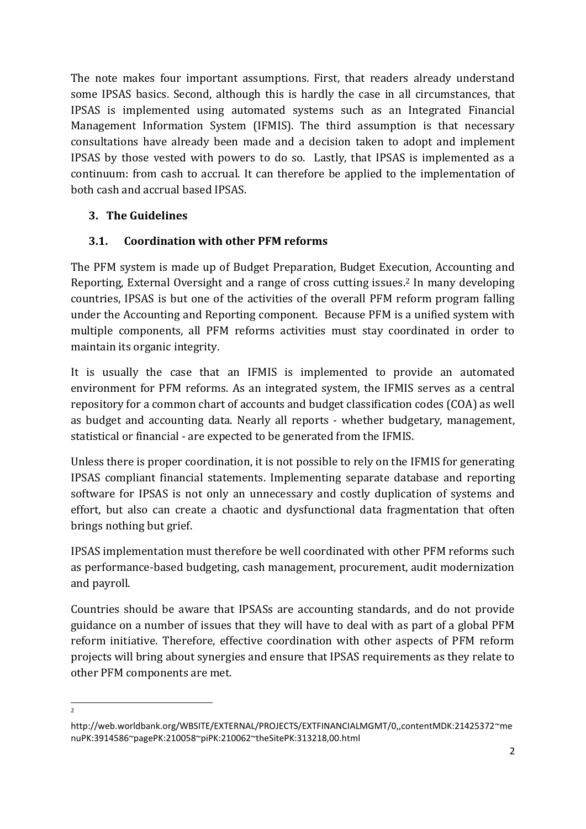The note makes four important assumptions. First, that readers already understand some IPSAS basics. Second, although this is hardly the case in all circumstances, that IPSAS is implemented using automated systems such as an Integrated Financial Management Information System (IFMIS). The third assumption is that necessary consultations have already been made and a decision taken to adopt and implement IPSAS by those vested with powers to do so. Lastly, that IPSAS is implemented as a continuum: from cash to accrual. It can therefore be applied to the implementation of both cash and accrual based IPSAS.

### **3. The Guidelines**

### **3.1. Coordination with other PFM reforms**

The PFM system is made up of Budget Preparation, Budget Execution, Accounting and Reporting, External Oversight and a range of cross cutting issues. <sup>2</sup> In many developing countries, IPSAS is but one of the activities of the overall PFM reform program falling under the Accounting and Reporting component. Because PFM is a unified system with multiple components, all PFM reforms activities must stay coordinated in order to maintain its organic integrity.

It is usually the case that an IFMIS is implemented to provide an automated environment for PFM reforms. As an integrated system, the IFMIS serves as a central repository for a common chart of accounts and budget classification codes (COA) as well as budget and accounting data. Nearly all reports - whether budgetary, management, statistical or financial - are expected to be generated from the IFMIS.

Unless there is proper coordination, it is not possible to rely on the IFMIS for generating IPSAS compliant financial statements. Implementing separate database and reporting software for IPSAS is not only an unnecessary and costly duplication of systems and effort, but also can create a chaotic and dysfunctional data fragmentation that often brings nothing but grief.

IPSAS implementation must therefore be well coordinated with other PFM reforms such as performance-based budgeting, cash management, procurement, audit modernization and payroll.

Countries should be aware that IPSASs are accounting standards, and do not provide guidance on a number of issues that they will have to deal with as part of a global PFM reform initiative. Therefore, effective coordination with other aspects of PFM reform projects will bring about synergies and ensure that IPSAS requirements as they relate to other PFM components are met.

 $\frac{1}{2}$ 

http://web.worldbank.org/WBSITE/EXTERNAL/PROJECTS/EXTFINANCIALMGMT/0,,contentMDK:21425372~me nuPK:3914586~pagePK:210058~piPK:210062~theSitePK:313218,00.html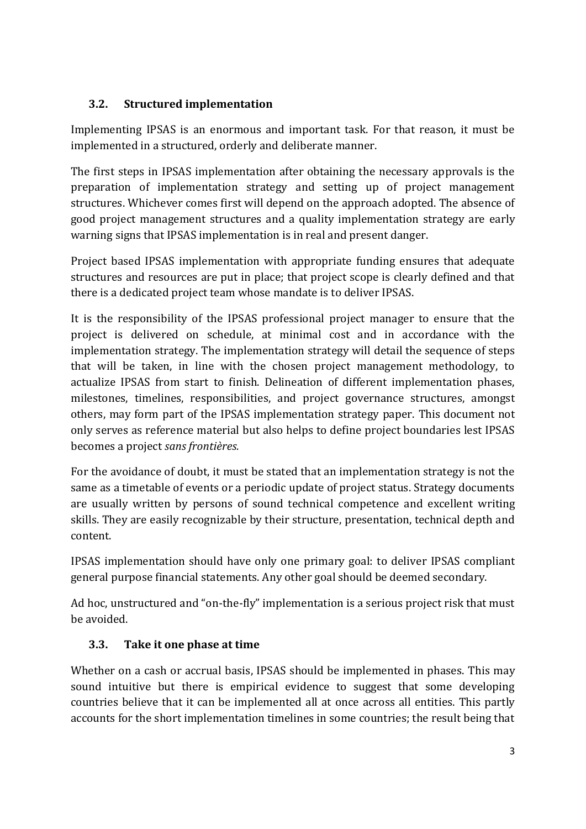### **3.2. Structured implementation**

Implementing IPSAS is an enormous and important task. For that reason, it must be implemented in a structured, orderly and deliberate manner.

The first steps in IPSAS implementation after obtaining the necessary approvals is the preparation of implementation strategy and setting up of project management structures. Whichever comes first will depend on the approach adopted. The absence of good project management structures and a quality implementation strategy are early warning signs that IPSAS implementation is in real and present danger.

Project based IPSAS implementation with appropriate funding ensures that adequate structures and resources are put in place; that project scope is clearly defined and that there is a dedicated project team whose mandate is to deliver IPSAS.

It is the responsibility of the IPSAS professional project manager to ensure that the project is delivered on schedule, at minimal cost and in accordance with the implementation strategy. The implementation strategy will detail the sequence of steps that will be taken, in line with the chosen project management methodology, to actualize IPSAS from start to finish. Delineation of different implementation phases, milestones, timelines, responsibilities, and project governance structures, amongst others, may form part of the IPSAS implementation strategy paper. This document not only serves as reference material but also helps to define project boundaries lest IPSAS becomes a project *sans frontières.*

For the avoidance of doubt, it must be stated that an implementation strategy is not the same as a timetable of events or a periodic update of project status. Strategy documents are usually written by persons of sound technical competence and excellent writing skills. They are easily recognizable by their structure, presentation, technical depth and content.

IPSAS implementation should have only one primary goal: to deliver IPSAS compliant general purpose financial statements. Any other goal should be deemed secondary.

Ad hoc, unstructured and "on-the-fly" implementation is a serious project risk that must be avoided.

# **3.3. Take it one phase at time**

Whether on a cash or accrual basis, IPSAS should be implemented in phases. This may sound intuitive but there is empirical evidence to suggest that some developing countries believe that it can be implemented all at once across all entities. This partly accounts for the short implementation timelines in some countries; the result being that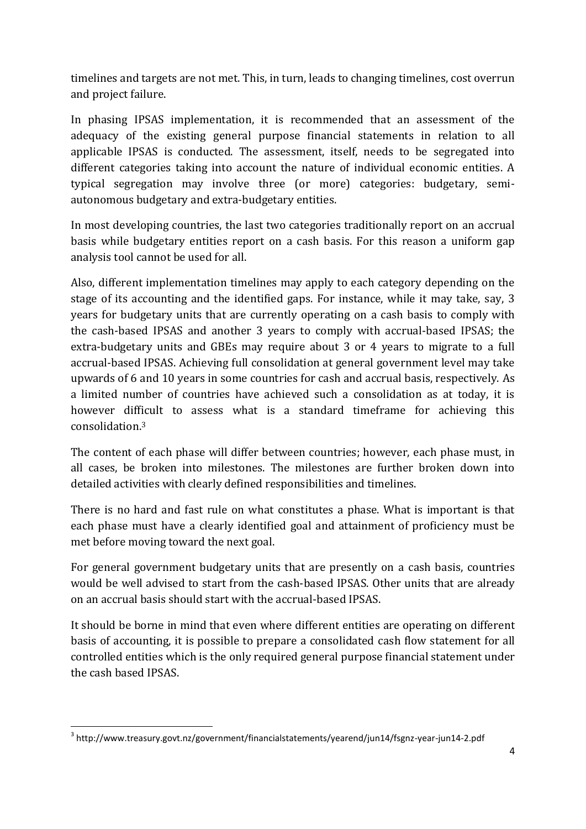timelines and targets are not met. This, in turn, leads to changing timelines, cost overrun and project failure.

In phasing IPSAS implementation, it is recommended that an assessment of the adequacy of the existing general purpose financial statements in relation to all applicable IPSAS is conducted. The assessment, itself, needs to be segregated into different categories taking into account the nature of individual economic entities. A typical segregation may involve three (or more) categories: budgetary, semiautonomous budgetary and extra-budgetary entities.

In most developing countries, the last two categories traditionally report on an accrual basis while budgetary entities report on a cash basis. For this reason a uniform gap analysis tool cannot be used for all.

Also, different implementation timelines may apply to each category depending on the stage of its accounting and the identified gaps. For instance, while it may take, say, 3 years for budgetary units that are currently operating on a cash basis to comply with the cash-based IPSAS and another 3 years to comply with accrual-based IPSAS; the extra-budgetary units and GBEs may require about 3 or 4 years to migrate to a full accrual-based IPSAS. Achieving full consolidation at general government level may take upwards of 6 and 10 years in some countries for cash and accrual basis, respectively. As a limited number of countries have achieved such a consolidation as at today, it is however difficult to assess what is a standard timeframe for achieving this consolidation. 3

The content of each phase will differ between countries; however, each phase must, in all cases, be broken into milestones. The milestones are further broken down into detailed activities with clearly defined responsibilities and timelines.

There is no hard and fast rule on what constitutes a phase. What is important is that each phase must have a clearly identified goal and attainment of proficiency must be met before moving toward the next goal.

For general government budgetary units that are presently on a cash basis, countries would be well advised to start from the cash-based IPSAS. Other units that are already on an accrual basis should start with the accrual-based IPSAS.

It should be borne in mind that even where different entities are operating on different basis of accounting, it is possible to prepare a consolidated cash flow statement for all controlled entities which is the only required general purpose financial statement under the cash based IPSAS.

**<sup>.</sup>** <sup>3</sup> http://www.treasury.govt.nz/government/financialstatements/yearend/jun14/fsgnz-year-jun14-2.pdf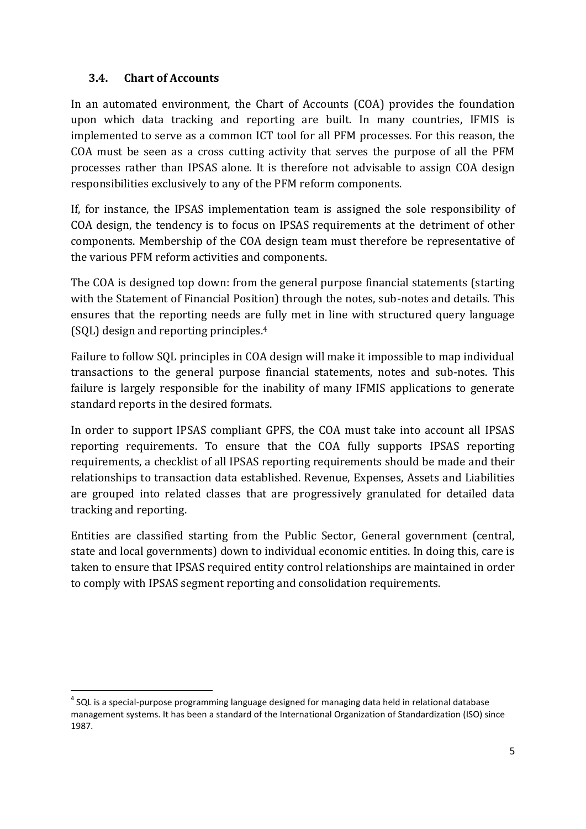### **3.4. Chart of Accounts**

**.** 

In an automated environment, the Chart of Accounts (COA) provides the foundation upon which data tracking and reporting are built. In many countries, IFMIS is implemented to serve as a common ICT tool for all PFM processes. For this reason, the COA must be seen as a cross cutting activity that serves the purpose of all the PFM processes rather than IPSAS alone. It is therefore not advisable to assign COA design responsibilities exclusively to any of the PFM reform components.

If, for instance, the IPSAS implementation team is assigned the sole responsibility of COA design, the tendency is to focus on IPSAS requirements at the detriment of other components. Membership of the COA design team must therefore be representative of the various PFM reform activities and components.

The COA is designed top down: from the general purpose financial statements (starting with the Statement of Financial Position) through the notes, sub-notes and details. This ensures that the reporting needs are fully met in line with structured query language (SQL) design and reporting principles. 4

Failure to follow SQL principles in COA design will make it impossible to map individual transactions to the general purpose financial statements, notes and sub-notes. This failure is largely responsible for the inability of many IFMIS applications to generate standard reports in the desired formats.

In order to support IPSAS compliant GPFS, the COA must take into account all IPSAS reporting requirements. To ensure that the COA fully supports IPSAS reporting requirements, a checklist of all IPSAS reporting requirements should be made and their relationships to transaction data established. Revenue, Expenses, Assets and Liabilities are grouped into related classes that are progressively granulated for detailed data tracking and reporting.

Entities are classified starting from the Public Sector, General government (central, state and local governments) down to individual economic entities. In doing this, care is taken to ensure that IPSAS required entity control relationships are maintained in order to comply with IPSAS segment reporting and consolidation requirements.

 $<sup>4</sup>$  SQL is a special-purpose programming language designed for managing data held in relational database</sup> management systems. It has been a standard of the International Organization of Standardization (ISO) since 1987.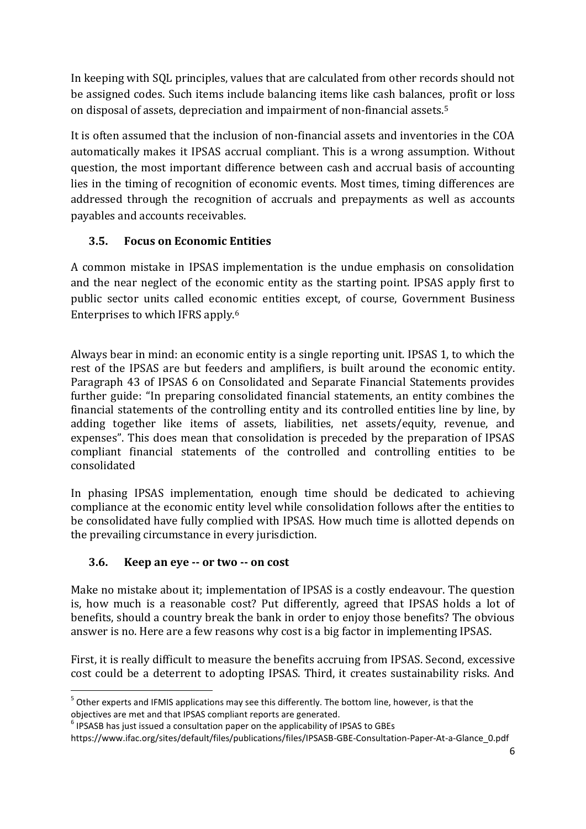In keeping with SQL principles, values that are calculated from other records should not be assigned codes. Such items include balancing items like cash balances, profit or loss on disposal of assets, depreciation and impairment of non-financial assets.<sup>5</sup>

It is often assumed that the inclusion of non-financial assets and inventories in the COA automatically makes it IPSAS accrual compliant. This is a wrong assumption. Without question, the most important difference between cash and accrual basis of accounting lies in the timing of recognition of economic events. Most times, timing differences are addressed through the recognition of accruals and prepayments as well as accounts payables and accounts receivables.

# **3.5. Focus on Economic Entities**

A common mistake in IPSAS implementation is the undue emphasis on consolidation and the near neglect of the economic entity as the starting point. IPSAS apply first to public sector units called economic entities except, of course, Government Business Enterprises to which IFRS apply. 6

Always bear in mind: an economic entity is a single reporting unit. IPSAS 1, to which the rest of the IPSAS are but feeders and amplifiers, is built around the economic entity. Paragraph 43 of IPSAS 6 on Consolidated and Separate Financial Statements provides further guide: "In preparing consolidated financial statements, an entity combines the financial statements of the controlling entity and its controlled entities line by line, by adding together like items of assets, liabilities, net assets/equity, revenue, and expenses". This does mean that consolidation is preceded by the preparation of IPSAS compliant financial statements of the controlled and controlling entities to be consolidated

In phasing IPSAS implementation, enough time should be dedicated to achieving compliance at the economic entity level while consolidation follows after the entities to be consolidated have fully complied with IPSAS. How much time is allotted depends on the prevailing circumstance in every jurisdiction.

# **3.6. Keep an eye -- or two -- on cost**

**.** 

Make no mistake about it; implementation of IPSAS is a costly endeavour. The question is, how much is a reasonable cost? Put differently, agreed that IPSAS holds a lot of benefits, should a country break the bank in order to enjoy those benefits? The obvious answer is no. Here are a few reasons why cost is a big factor in implementing IPSAS.

First, it is really difficult to measure the benefits accruing from IPSAS. Second, excessive cost could be a deterrent to adopting IPSAS. Third, it creates sustainability risks. And

<sup>&</sup>lt;sup>5</sup> Other experts and IFMIS applications may see this differently. The bottom line, however, is that the objectives are met and that IPSAS compliant reports are generated.

 $<sup>6</sup>$  IPSASB has just issued a consultation paper on the applicability of IPSAS to GBEs</sup>

https://www.ifac.org/sites/default/files/publications/files/IPSASB-GBE-Consultation-Paper-At-a-Glance\_0.pdf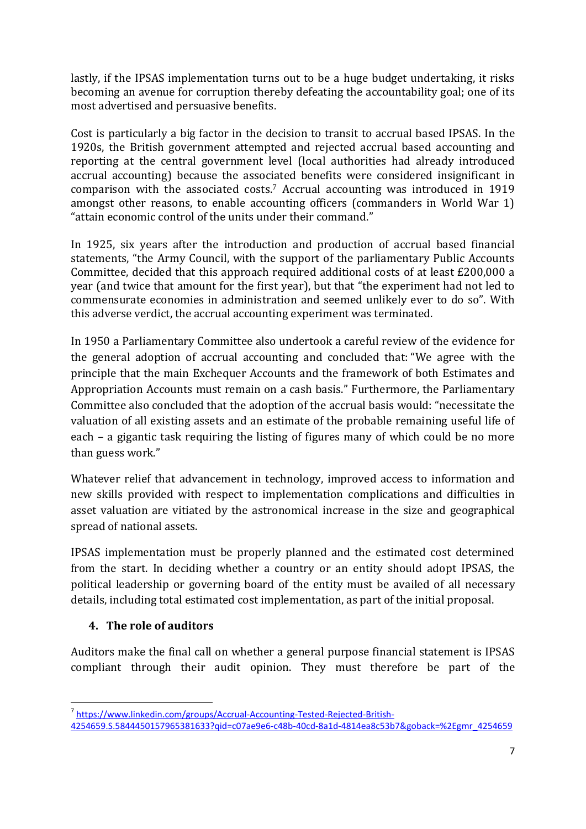lastly, if the IPSAS implementation turns out to be a huge budget undertaking, it risks becoming an avenue for corruption thereby defeating the accountability goal; one of its most advertised and persuasive benefits.

Cost is particularly a big factor in the decision to transit to accrual based IPSAS. In the 1920s, the British government attempted and rejected accrual based accounting and reporting at the central government level (local authorities had already introduced accrual accounting) because the associated benefits were considered insignificant in comparison with the associated costs. <sup>7</sup> Accrual accounting was introduced in 1919 amongst other reasons, to enable accounting officers (commanders in World War 1) "attain economic control of the units under their command."

In 1925, six years after the introduction and production of accrual based financial statements, "the Army Council, with the support of the parliamentary Public Accounts Committee, decided that this approach required additional costs of at least £200,000 a year (and twice that amount for the first year), but that "the experiment had not led to commensurate economies in administration and seemed unlikely ever to do so". With this adverse verdict, the accrual accounting experiment was terminated.

In 1950 a Parliamentary Committee also undertook a careful review of the evidence for the general adoption of accrual accounting and concluded that: "We agree with the principle that the main Exchequer Accounts and the framework of both Estimates and Appropriation Accounts must remain on a cash basis." Furthermore, the Parliamentary Committee also concluded that the adoption of the accrual basis would: "necessitate the valuation of all existing assets and an estimate of the probable remaining useful life of each – a gigantic task requiring the listing of figures many of which could be no more than guess work."

Whatever relief that advancement in technology, improved access to information and new skills provided with respect to implementation complications and difficulties in asset valuation are vitiated by the astronomical increase in the size and geographical spread of national assets.

IPSAS implementation must be properly planned and the estimated cost determined from the start. In deciding whether a country or an entity should adopt IPSAS, the political leadership or governing board of the entity must be availed of all necessary details, including total estimated cost implementation, as part of the initial proposal.

#### **4. The role of auditors**

**.** 

Auditors make the final call on whether a general purpose financial statement is IPSAS compliant through their audit opinion. They must therefore be part of the

<sup>7</sup> [https://www.linkedin.com/groups/Accrual-Accounting-Tested-Rejected-British-](https://www.linkedin.com/groups/Accrual-Accounting-Tested-Rejected-British-4254659.S.5844450157965381633?qid=c07ae9e6-c48b-40cd-8a1d-4814ea8c53b7&goback=%2Egmr_4254659)

[<sup>4254659.</sup>S.5844450157965381633?qid=c07ae9e6-c48b-40cd-8a1d-4814ea8c53b7&goback=%2Egmr\\_4254659](https://www.linkedin.com/groups/Accrual-Accounting-Tested-Rejected-British-4254659.S.5844450157965381633?qid=c07ae9e6-c48b-40cd-8a1d-4814ea8c53b7&goback=%2Egmr_4254659)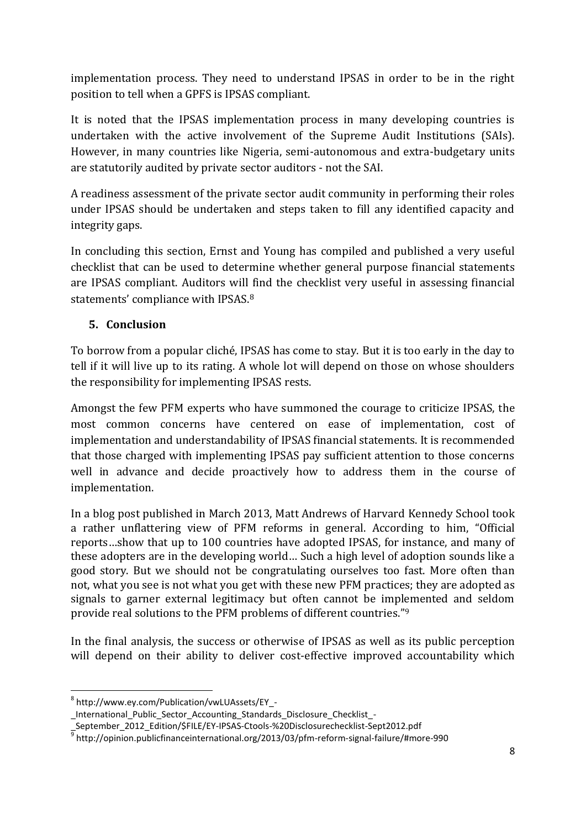implementation process. They need to understand IPSAS in order to be in the right position to tell when a GPFS is IPSAS compliant.

It is noted that the IPSAS implementation process in many developing countries is undertaken with the active involvement of the Supreme Audit Institutions (SAIs). However, in many countries like Nigeria, semi-autonomous and extra-budgetary units are statutorily audited by private sector auditors - not the SAI.

A readiness assessment of the private sector audit community in performing their roles under IPSAS should be undertaken and steps taken to fill any identified capacity and integrity gaps.

In concluding this section, Ernst and Young has compiled and published a very useful checklist that can be used to determine whether general purpose financial statements are IPSAS compliant. Auditors will find the checklist very useful in assessing financial statements' compliance with IPSAS.<sup>8</sup>

### **5. Conclusion**

To borrow from a popular cliché, IPSAS has come to stay. But it is too early in the day to tell if it will live up to its rating. A whole lot will depend on those on whose shoulders the responsibility for implementing IPSAS rests.

Amongst the few PFM experts who have summoned the courage to criticize IPSAS, the most common concerns have centered on ease of implementation, cost of implementation and understandability of IPSAS financial statements. It is recommended that those charged with implementing IPSAS pay sufficient attention to those concerns well in advance and decide proactively how to address them in the course of implementation.

In a blog post published in March 2013, Matt Andrews of Harvard Kennedy School took a rather unflattering view of PFM reforms in general. According to him, "Official reports…show that up to 100 countries have adopted IPSAS, for instance, and many of these adopters are in the developing world… Such a high level of adoption sounds like a good story. But we should not be congratulating ourselves too fast. More often than not, what you see is not what you get with these new PFM practices; they are adopted as signals to garner external legitimacy but often cannot be implemented and seldom provide real solutions to the PFM problems of different countries."<sup>9</sup>

In the final analysis, the success or otherwise of IPSAS as well as its public perception will depend on their ability to deliver cost-effective improved accountability which

**.** 

<sup>8</sup> http://www.ey.com/Publication/vwLUAssets/EY\_-

\_International\_Public\_Sector\_Accounting\_Standards\_Disclosure\_Checklist\_-

\_September\_2012\_Edition/\$FILE/EY-IPSAS-Ctools-%20Disclosurechecklist-Sept2012.pdf<br><sup>9</sup> http://opinion.publicfinanceinternational.org/2013/03/pfm-reform-signal-failure/#more-990